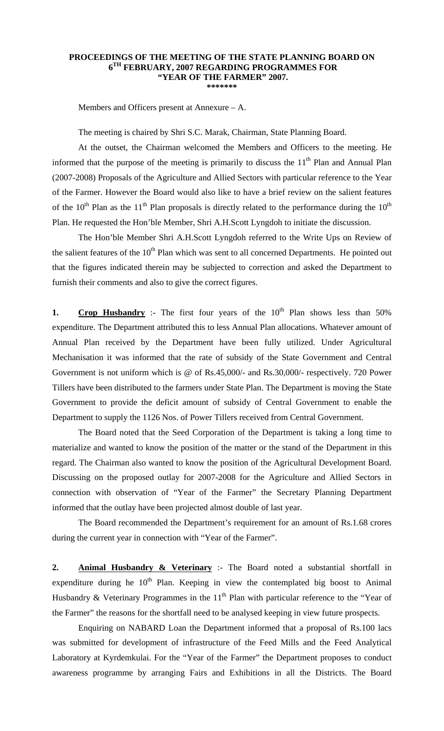## **PROCEEDINGS OF THE MEETING OF THE STATE PLANNING BOARD ON 6TH FEBRUARY, 2007 REGARDING PROGRAMMES FOR "YEAR OF THE FARMER" 2007.**

**\*\*\*\*\*\*\*** 

Members and Officers present at Annexure – A.

The meeting is chaired by Shri S.C. Marak, Chairman, State Planning Board.

 At the outset, the Chairman welcomed the Members and Officers to the meeting. He informed that the purpose of the meeting is primarily to discuss the  $11<sup>th</sup>$  Plan and Annual Plan (2007-2008) Proposals of the Agriculture and Allied Sectors with particular reference to the Year of the Farmer. However the Board would also like to have a brief review on the salient features of the  $10<sup>th</sup>$  Plan as the  $11<sup>th</sup>$  Plan proposals is directly related to the performance during the  $10<sup>th</sup>$ Plan. He requested the Hon'ble Member, Shri A.H.Scott Lyngdoh to initiate the discussion.

 The Hon'ble Member Shri A.H.Scott Lyngdoh referred to the Write Ups on Review of the salient features of the  $10<sup>th</sup>$  Plan which was sent to all concerned Departments. He pointed out that the figures indicated therein may be subjected to correction and asked the Department to furnish their comments and also to give the correct figures.

**1. Crop Husbandry** :- The first four years of the  $10<sup>th</sup>$  Plan shows less than 50% expenditure. The Department attributed this to less Annual Plan allocations. Whatever amount of Annual Plan received by the Department have been fully utilized. Under Agricultural Mechanisation it was informed that the rate of subsidy of the State Government and Central Government is not uniform which is @ of Rs.45,000/- and Rs.30,000/- respectively. 720 Power Tillers have been distributed to the farmers under State Plan. The Department is moving the State Government to provide the deficit amount of subsidy of Central Government to enable the Department to supply the 1126 Nos. of Power Tillers received from Central Government.

 The Board noted that the Seed Corporation of the Department is taking a long time to materialize and wanted to know the position of the matter or the stand of the Department in this regard. The Chairman also wanted to know the position of the Agricultural Development Board. Discussing on the proposed outlay for 2007-2008 for the Agriculture and Allied Sectors in connection with observation of "Year of the Farmer" the Secretary Planning Department informed that the outlay have been projected almost double of last year.

 The Board recommended the Department's requirement for an amount of Rs.1.68 crores during the current year in connection with "Year of the Farmer".

**2. Animal Husbandry & Veterinary** :- The Board noted a substantial shortfall in expenditure during he  $10<sup>th</sup>$  Plan. Keeping in view the contemplated big boost to Animal Husbandry & Veterinary Programmes in the  $11<sup>th</sup>$  Plan with particular reference to the "Year of the Farmer" the reasons for the shortfall need to be analysed keeping in view future prospects.

 Enquiring on NABARD Loan the Department informed that a proposal of Rs.100 lacs was submitted for development of infrastructure of the Feed Mills and the Feed Analytical Laboratory at Kyrdemkulai. For the "Year of the Farmer" the Department proposes to conduct awareness programme by arranging Fairs and Exhibitions in all the Districts. The Board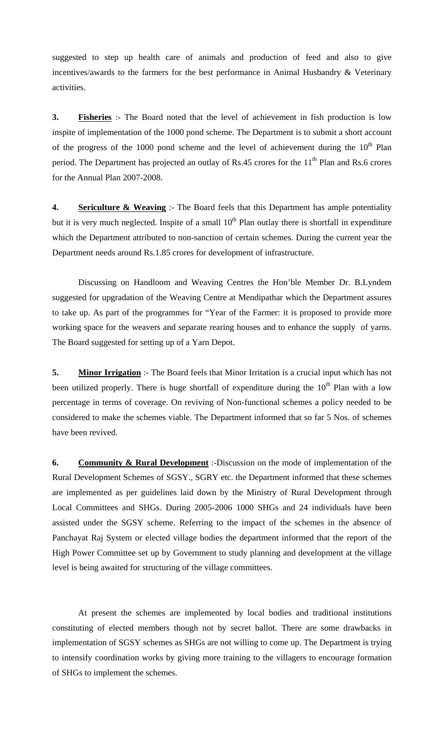suggested to step up health care of animals and production of feed and also to give incentives/awards to the farmers for the best performance in Animal Husbandry & Veterinary activities.

**3. Fisheries** :- The Board noted that the level of achievement in fish production is low inspite of implementation of the 1000 pond scheme. The Department is to submit a short account of the progress of the 1000 pond scheme and the level of achievement during the  $10<sup>th</sup>$  Plan period. The Department has projected an outlay of Rs.45 crores for the 11<sup>th</sup> Plan and Rs.6 crores for the Annual Plan 2007-2008.

**4. Sericulture & Weaving** :- The Board feels that this Department has ample potentiality but it is very much neglected. Inspite of a small  $10<sup>th</sup>$  Plan outlay there is shortfall in expenditure which the Department attributed to non-sanction of certain schemes. During the current year the Department needs around Rs.1.85 crores for development of infrastructure.

 Discussing on Handloom and Weaving Centres the Hon'ble Member Dr. B.Lyndem suggested for upgradation of the Weaving Centre at Mendipathar which the Department assures to take up. As part of the programmes for "Year of the Farmer: it is proposed to provide more working space for the weavers and separate rearing houses and to enhance the supply of yarns. The Board suggested for setting up of a Yarn Depot.

**5. Minor Irrigation** :- The Board feels that Minor Irritation is a crucial input which has not been utilized properly. There is huge shortfall of expenditure during the  $10<sup>th</sup>$  Plan with a low percentage in terms of coverage. On reviving of Non-functional schemes a policy needed to be considered to make the schemes viable. The Department informed that so far 5 Nos. of schemes have been revived.

**6. Community & Rural Development** :-Discussion on the mode of implementation of the Rural Development Schemes of SGSY., SGRY etc. the Department informed that these schemes are implemented as per guidelines laid down by the Ministry of Rural Development through Local Committees and SHGs. During 2005-2006 1000 SHGs and 24 individuals have been assisted under the SGSY scheme. Referring to the impact of the schemes in the absence of Panchayat Raj System or elected village bodies the department informed that the report of the High Power Committee set up by Government to study planning and development at the village level is being awaited for structuring of the village committees.

 At present the schemes are implemented by local bodies and traditional institutions constituting of elected members though not by secret ballot. There are some drawbacks in implementation of SGSY schemes as SHGs are not willing to come up. The Department is trying to intensify coordination works by giving more training to the villagers to encourage formation of SHGs to implement the schemes.